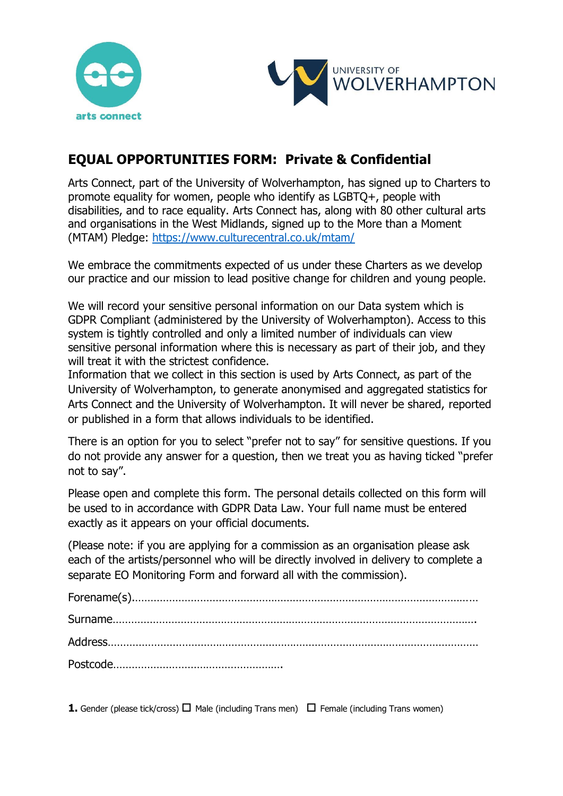



## **EQUAL OPPORTUNITIES FORM: Private & Confidential**

Arts Connect, part of the University of Wolverhampton, has signed up to Charters to promote equality for women, people who identify as LGBTQ+, people with disabilities, and to race equality. Arts Connect has, along with 80 other cultural arts and organisations in the West Midlands, signed up to the More than a Moment (MTAM) Pledge: <https://www.culturecentral.co.uk/mtam/>

We embrace the commitments expected of us under these Charters as we develop our practice and our mission to lead positive change for children and young people.

We will record your sensitive personal information on our Data system which is GDPR Compliant (administered by the University of Wolverhampton). Access to this system is tightly controlled and only a limited number of individuals can view sensitive personal information where this is necessary as part of their job, and they will treat it with the strictest confidence.

Information that we collect in this section is used by Arts Connect, as part of the University of Wolverhampton, to generate anonymised and aggregated statistics for Arts Connect and the University of Wolverhampton. It will never be shared, reported or published in a form that allows individuals to be identified.

There is an option for you to select "prefer not to say" for sensitive questions. If you do not provide any answer for a question, then we treat you as having ticked "prefer not to say".

Please open and complete this form. The personal details collected on this form will be used to in accordance with GDPR Data Law. Your full name must be entered exactly as it appears on your official documents.

(Please note: if you are applying for a commission as an organisation please ask each of the artists/personnel who will be directly involved in delivery to complete a separate EO Monitoring Form and forward all with the commission).

**1.** Gender (please tick/cross)  $\Box$  Male (including Trans men)  $\Box$  Female (including Trans women)